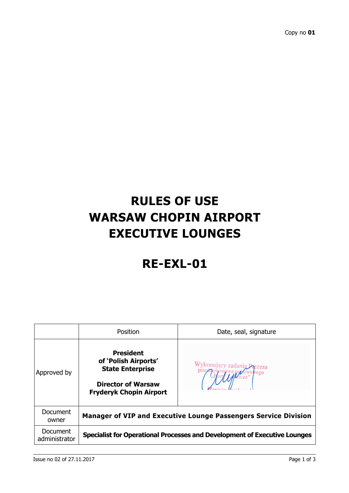## **RULES OF USE WARSAW CHOPIN AIRPORT EXECUTIVE LOUNGES**

## **RE-EXL-01**

|                           | Position                                                                                                                           | Date, seal, signature |
|---------------------------|------------------------------------------------------------------------------------------------------------------------------------|-----------------------|
| Approved by               | <b>President</b><br>of 'Polish Airports'<br><b>State Enterprise</b><br><b>Director of Warsaw</b><br><b>Fryderyk Chopin Airport</b> |                       |
| Document<br>owner         | <b>Manager of VIP and Executive Lounge Passengers Service Division</b>                                                             |                       |
| Document<br>administrator | Specialist for Operational Processes and Development of Executive Lounges                                                          |                       |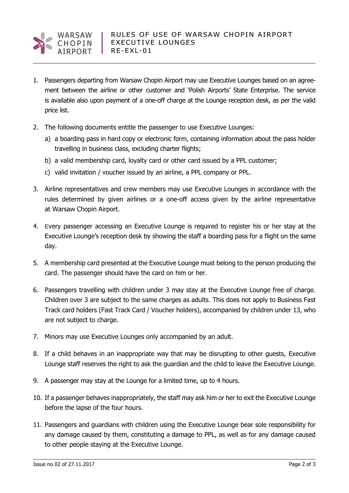

- 1. Passengers departing from Warsaw Chopin Airport may use Executive Lounges based on an agreement between the airline or other customer and 'Polish Airports' State Enterprise. The service is available also upon payment of a one-off charge at the Lounge reception desk, as per the valid price list.
- 2. The following documents entitle the passenger to use Executive Lounges:
	- a) a boarding pass in hard copy or electronic form, containing information about the pass holder travelling in business class, excluding charter flights;
	- b) a valid membership card, loyalty card or other card issued by a PPL customer;
	- c) valid invitation / voucher issued by an airline, a PPL company or PPL.
- 3. Airline representatives and crew members may use Executive Lounges in accordance with the rules determined by given airlines or a one-off access given by the airline representative at Warsaw Chopin Airport.
- 4. Every passenger accessing an Executive Lounge is required to register his or her stay at the Executive Lounge's reception desk by showing the staff a boarding pass for a flight on the same day.
- 5. A membership card presented at the Executive Lounge must belong to the person producing the card. The passenger should have the card on him or her.
- 6. Passengers travelling with children under 3 may stay at the Executive Lounge free of charge. Children over 3 are subject to the same charges as adults. This does not apply to Business Fast Track card holders (Fast Track Card / Voucher holders), accompanied by children under 13, who are not subject to charge.
- 7. Minors may use Executive Lounges only accompanied by an adult.
- 8. If a child behaves in an inappropriate way that may be disrupting to other guests, Executive Lounge staff reserves the right to ask the guardian and the child to leave the Executive Lounge.
- 9. A passenger may stay at the Lounge for a limited time, up to 4 hours.
- 10. If a passenger behaves inappropriately, the staff may ask him or her to exit the Executive Lounge before the lapse of the four hours.
- 11. Passengers and guardians with children using the Executive Lounge bear sole responsibility for any damage caused by them, constituting a damage to PPL, as well as for any damage caused to other people staying at the Executive Lounge.